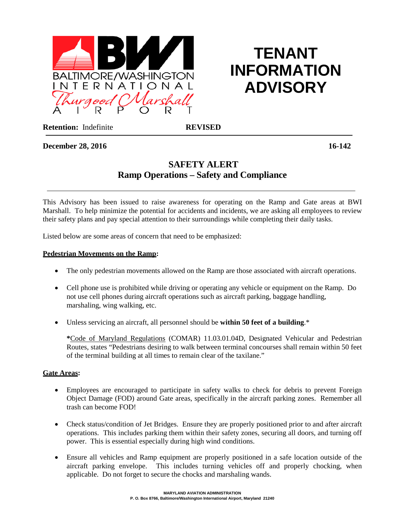

# **TENANT INFORMATION ADVISORY**

**Retention:** Indefinite **REVISED** 

# **December 28, 2016 16-142**

# **SAFETY ALERT Ramp Operations – Safety and Compliance**

This Advisory has been issued to raise awareness for operating on the Ramp and Gate areas at BWI Marshall. To help minimize the potential for accidents and incidents, we are asking all employees to review their safety plans and pay special attention to their surroundings while completing their daily tasks.

Listed below are some areas of concern that need to be emphasized:

#### **Pedestrian Movements on the Ramp:**

- The only pedestrian movements allowed on the Ramp are those associated with aircraft operations.
- Cell phone use is prohibited while driving or operating any vehicle or equipment on the Ramp. Do not use cell phones during aircraft operations such as aircraft parking, baggage handling, marshaling, wing walking, etc.
- Unless servicing an aircraft, all personnel should be **within 50 feet of a building**.\*

**\***Code of Maryland Regulations (COMAR) 11.03.01.04D, Designated Vehicular and Pedestrian Routes, states "Pedestrians desiring to walk between terminal concourses shall remain within 50 feet of the terminal building at all times to remain clear of the taxilane."

#### **Gate Areas:**

- Employees are encouraged to participate in safety walks to check for debris to prevent Foreign Object Damage (FOD) around Gate areas, specifically in the aircraft parking zones. Remember all trash can become FOD!
- Check status/condition of Jet Bridges. Ensure they are properly positioned prior to and after aircraft operations. This includes parking them within their safety zones, securing all doors, and turning off power. This is essential especially during high wind conditions.
- Ensure all vehicles and Ramp equipment are properly positioned in a safe location outside of the aircraft parking envelope. This includes turning vehicles off and properly chocking, when applicable. Do not forget to secure the chocks and marshaling wands.